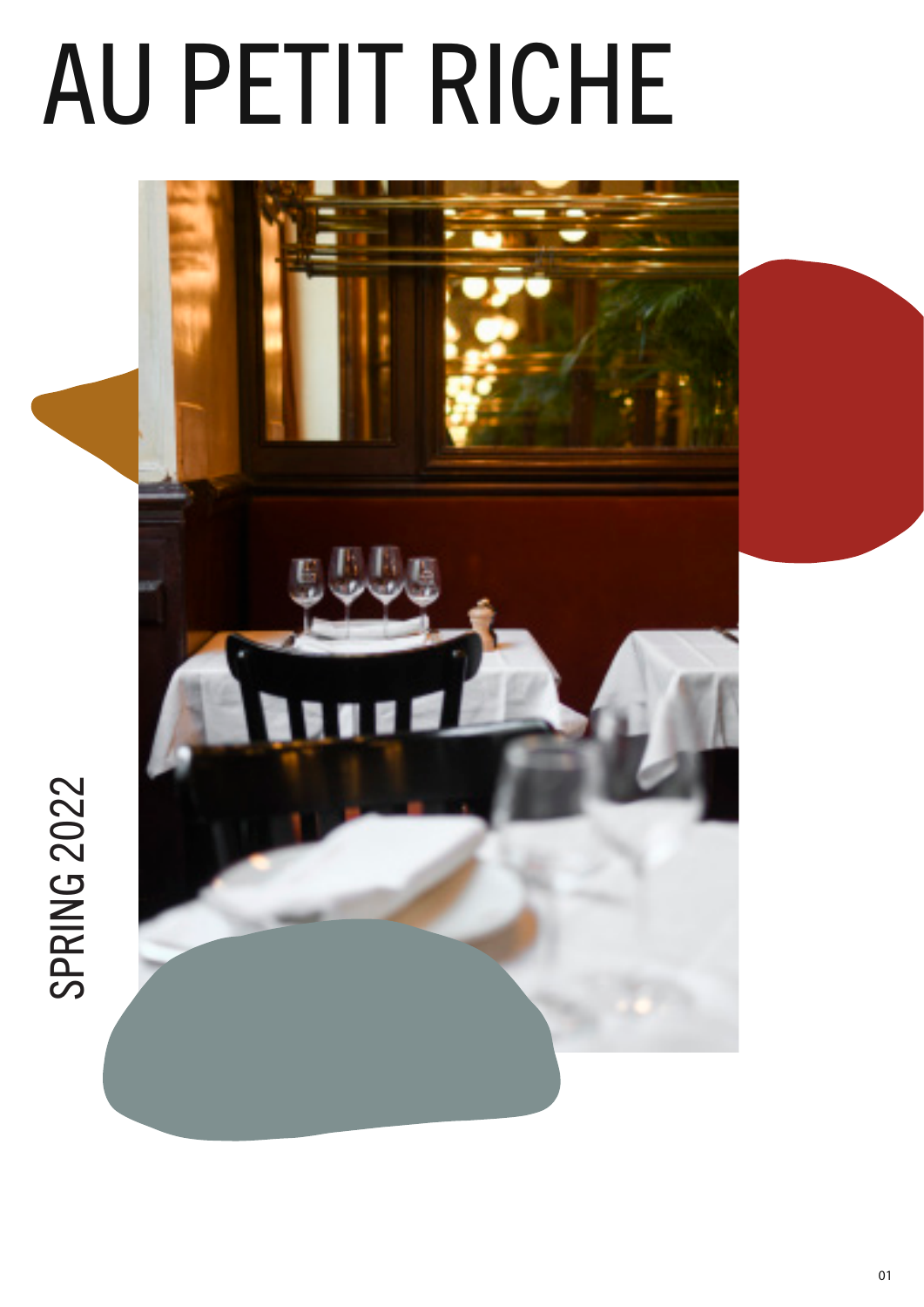# AU PETIT RICHE

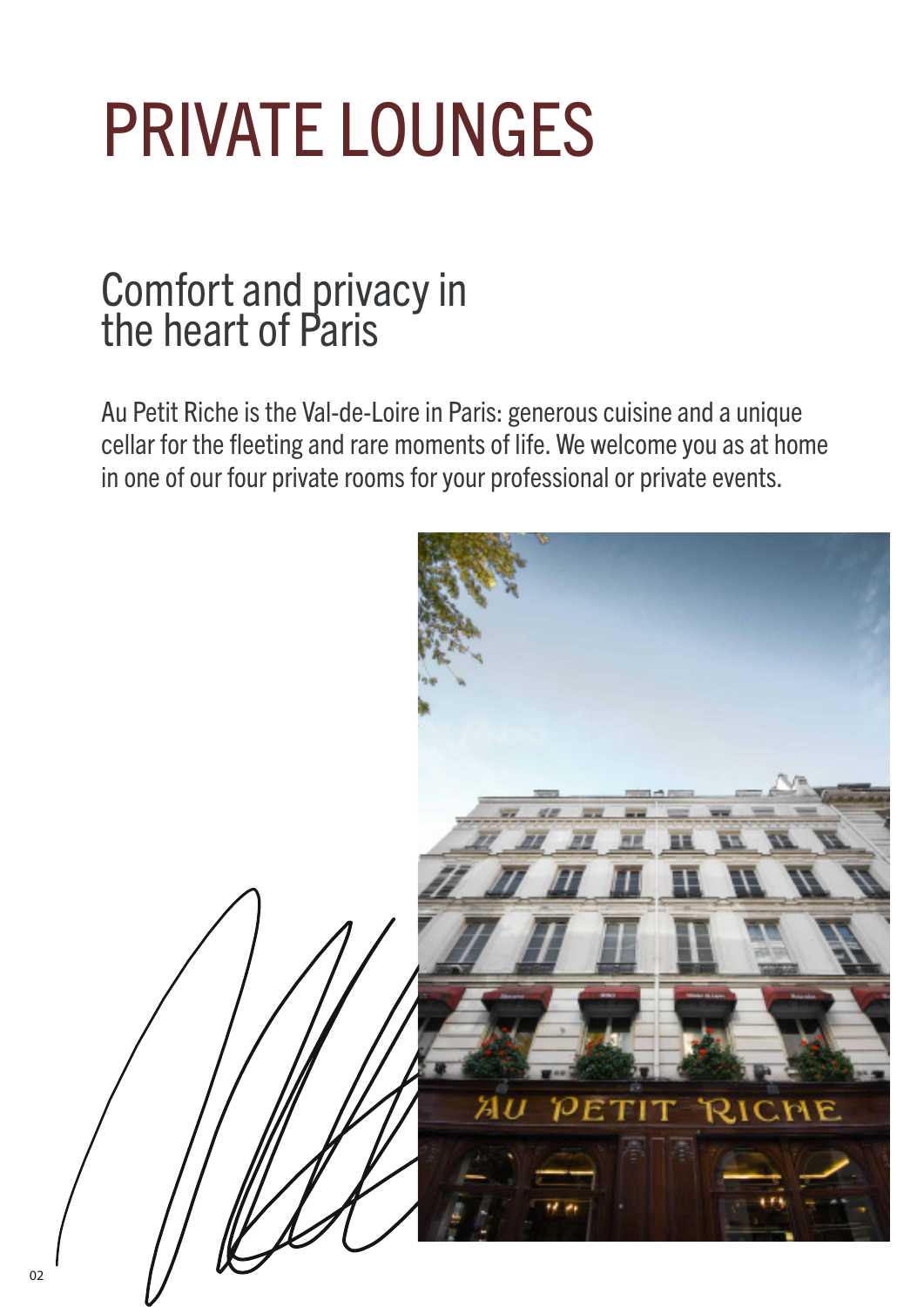## PRIVATE LOUNGES

### Comfort and privacy in the heart of Paris

Au Petit Riche is the Val-de-Loire in Paris: generous cuisine and a unique cellar for the fleeting and rare moments of life. We welcome you as at home in one of our four private rooms for your professional or private events.

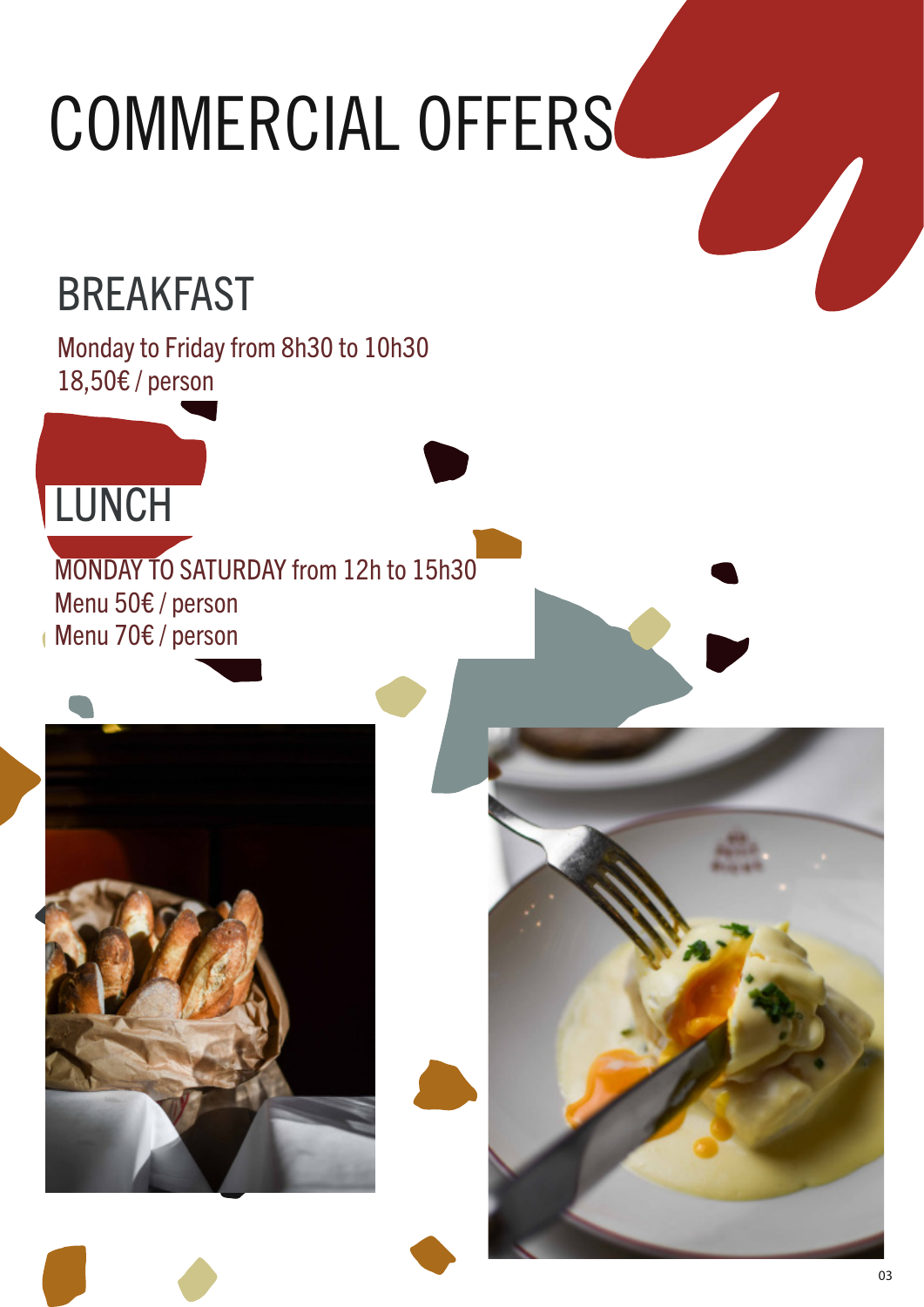## COMMERCIAL OFFERS

## BREAKFAST

Monday to Friday from 8h30 to 10h30 18,50€ / person

## **LUNCH**

MONDAY TO SATURDAY from 12h to 15h30 Menu 50€ / person Menu 70€ / person



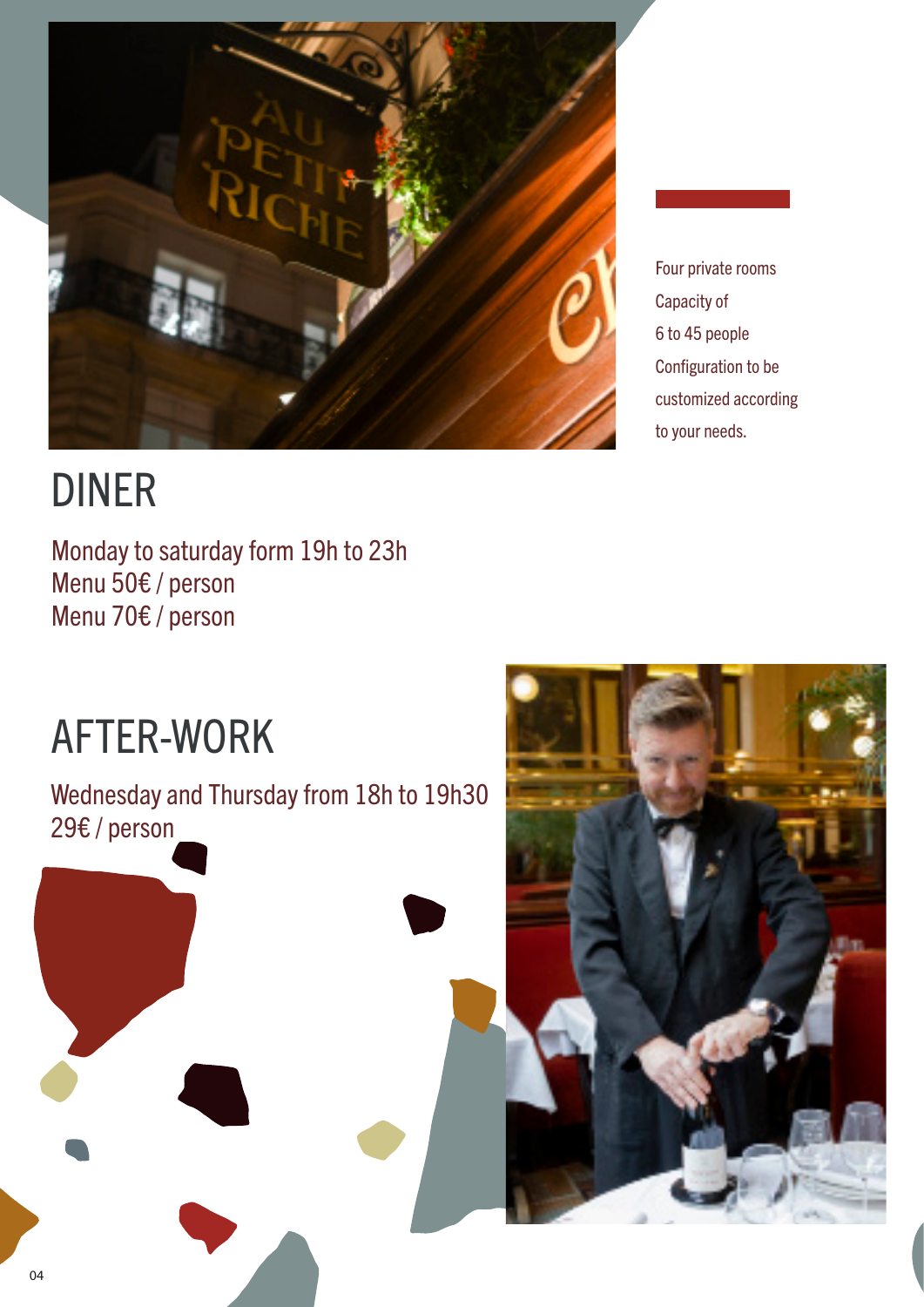

## DINER

Monday to saturday form 19h to 23h Menu 50€ / person Menu 70€ / person

Four private rooms Capacity of 6 to 45 people Configuration to be customized according to your needs.

## AFTER-WORK

Wednesday and Thursday from 18h to 19h30 29€ / person

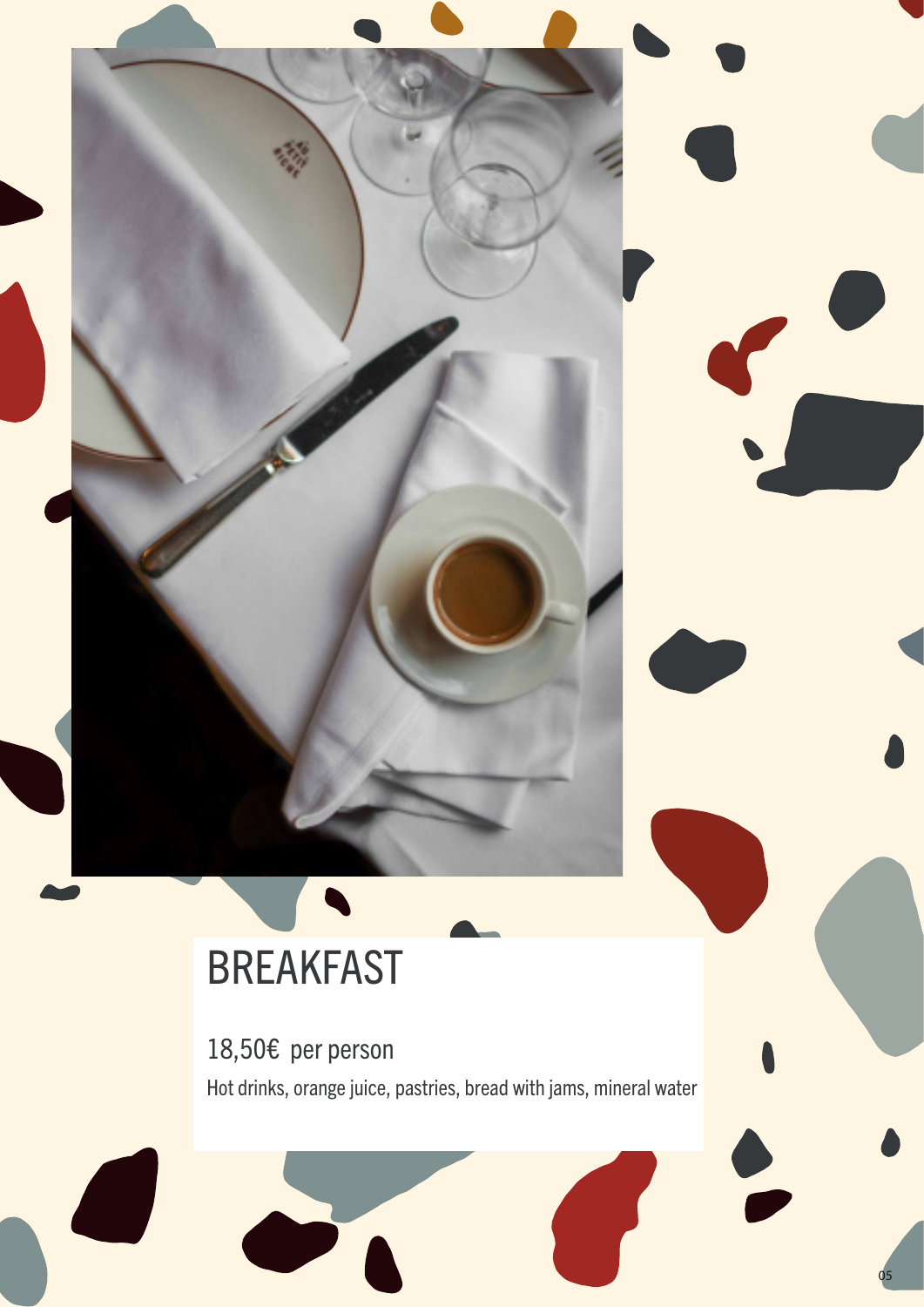## BREAKFAST

18,50€ per person<br>Hot drinks, orange juice, pastries, bread with jams, mineral water

05

 $\overline{\phantom{a}}$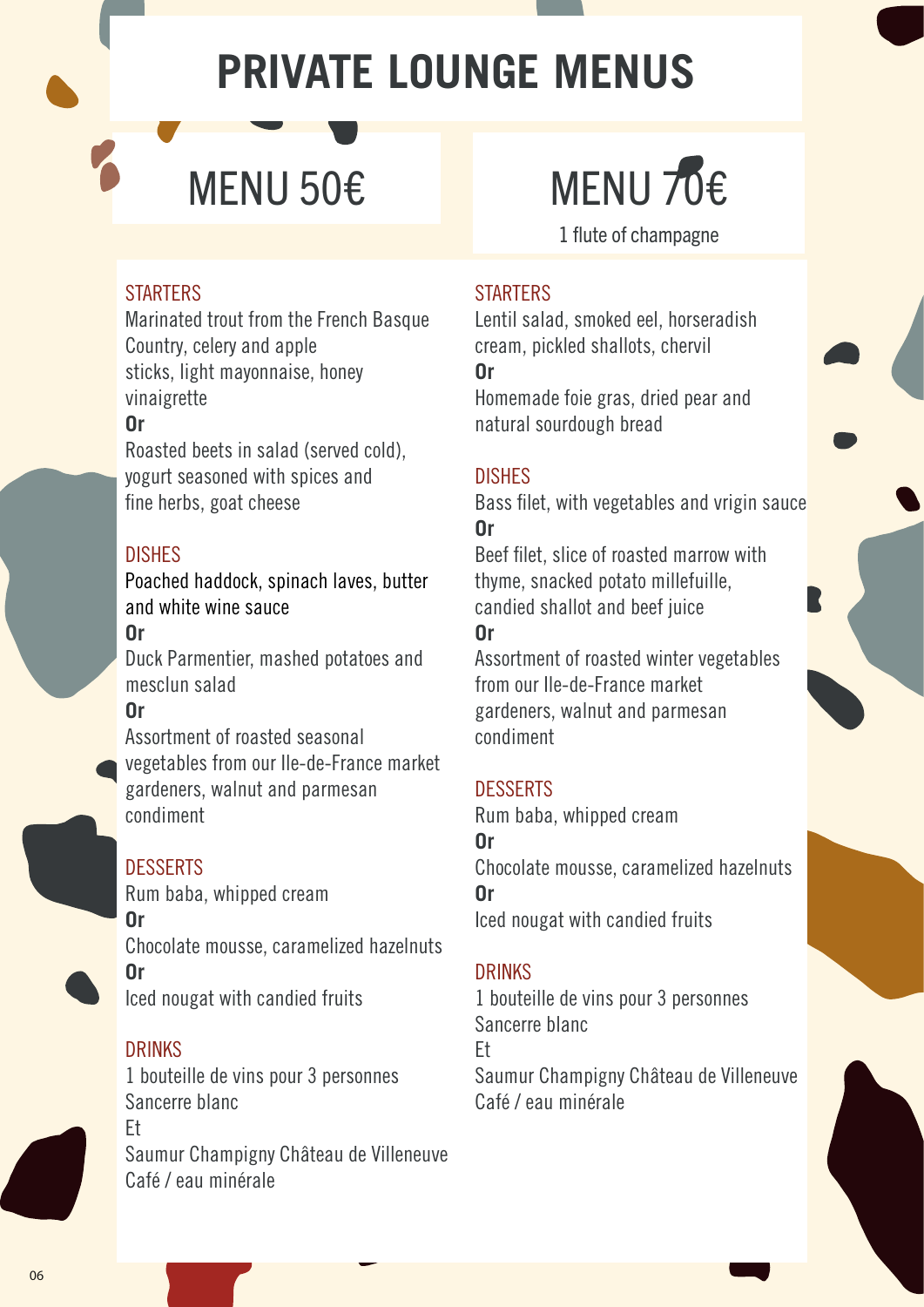## **PRIVATE LOUNGE MENUS**

## MENU 50€ MENU 70€

1 flute of champagne

#### **STARTERS**

Marinated trout from the French Basque Country, celery and apple sticks, light mayonnaise, honey vinaigrette

#### **Or**

Roasted beets in salad (served cold), yogurt seasoned with spices and fine herbs, goat cheese

### DISHES

Poached haddock, spinach laves, butter and white wine sauce **Or**

Duck Parmentier, mashed potatoes and mesclun salad

#### **Or**

Assortment of roasted seasonal vegetables from our Ile-de-France market gardeners, walnut and parmesan condiment

### **DESSERTS**

Rum baba, whipped cream **Or** Chocolate mousse, caramelized hazelnuts **Or**  Iced nougat with candied fruits

#### DRINKS

1 bouteille de vins pour 3 personnes Sancerre blanc Et Saumur Champigny Château de Villeneuve Café / eau minérale

#### **STARTERS**

Lentil salad, smoked eel, horseradish cream, pickled shallots, chervil **Or**

Homemade foie gras, dried pear and natural sourdough bread

#### DISHES

Bass filet, with vegetables and vrigin sauce **Or**

Beef filet, slice of roasted marrow with thyme, snacked potato millefuille, candied shallot and beef juice **Or**

Assortment of roasted winter vegetables from our Ile-de-France market gardeners, walnut and parmesan condiment

#### DESSERTS

Rum baba, whipped cream **Or** Chocolate mousse, caramelized hazelnuts **Or**  Iced nougat with candied fruits

#### DRINKS

1 bouteille de vins pour 3 personnes Sancerre blanc Et Saumur Champigny Château de Villeneuve Café / eau minérale

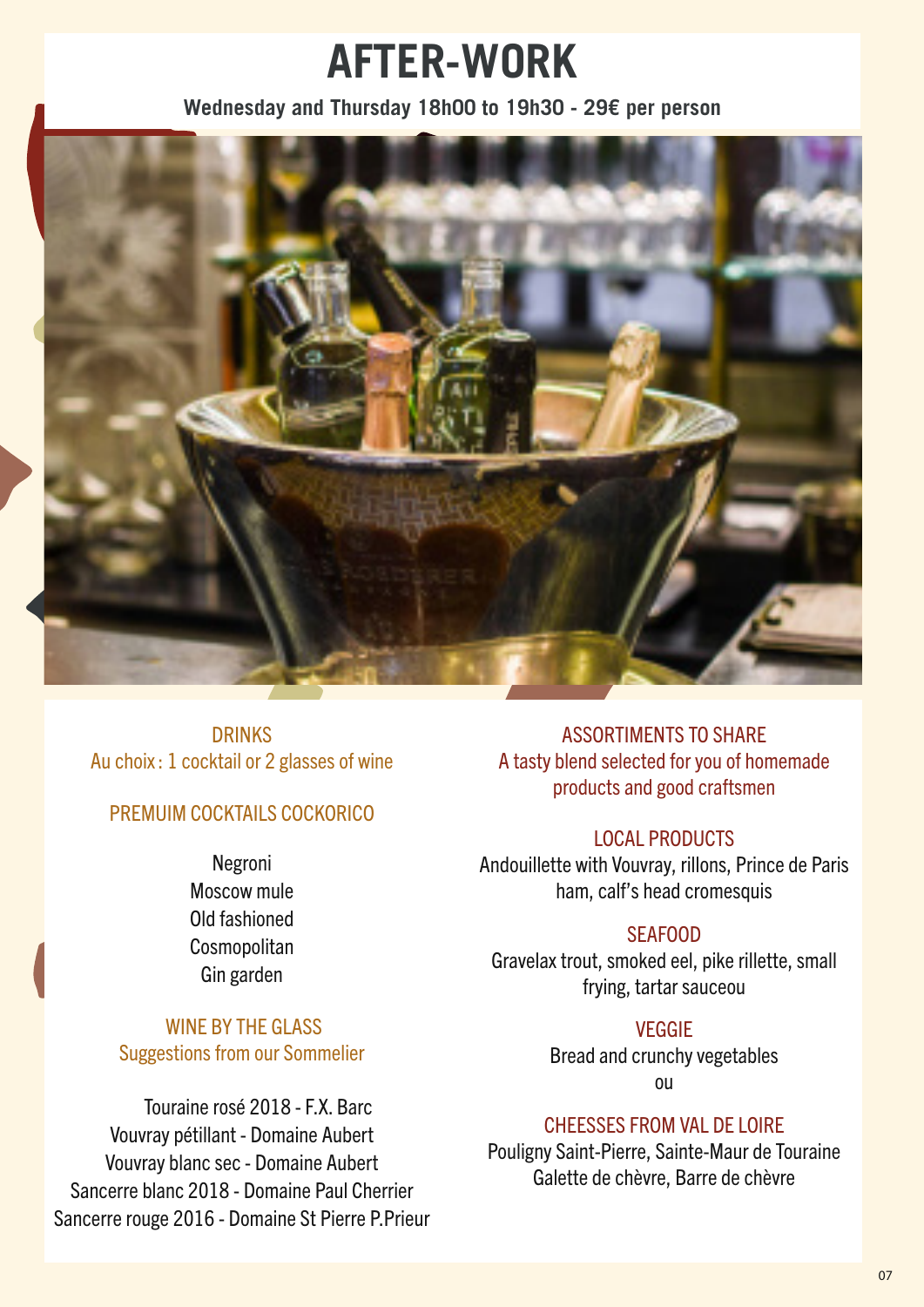## **AFTER-WORK**

#### **Wednesday and Thursday 18h00 to 19h30 - 29€ per person**



DRINKS Au choix : 1 cocktail or 2 glasses of wine

#### PREMUIM COCKTAILS COCKORICO

Negroni Moscow mule Old fashioned **Cosmopolitan** Gin garden

#### WINE BY THE GLASS Suggestions from our Sommelier

 Touraine rosé 2018 - F.X. Barc Vouvray pétillant - Domaine Aubert Vouvray blanc sec - Domaine Aubert Sancerre blanc 2018 - Domaine Paul Cherrier Sancerre rouge 2016 - Domaine St Pierre P.Prieur

ASSORTIMENTS TO SHARE A tasty blend selected for you of homemade products and good craftsmen

#### LOCAL PRODUCTS

Andouillette with Vouvray, rillons, Prince de Paris ham, calf's head cromesquis

#### SEAFOOD

Gravelax trout, smoked eel, pike rillette, small frying, tartar sauceou

#### VEGGIE

Bread and crunchy vegetables ou

#### CHEESSES FROM VAL DE LOIRE

Pouligny Saint-Pierre, Sainte-Maur de Touraine Galette de chèvre, Barre de chèvre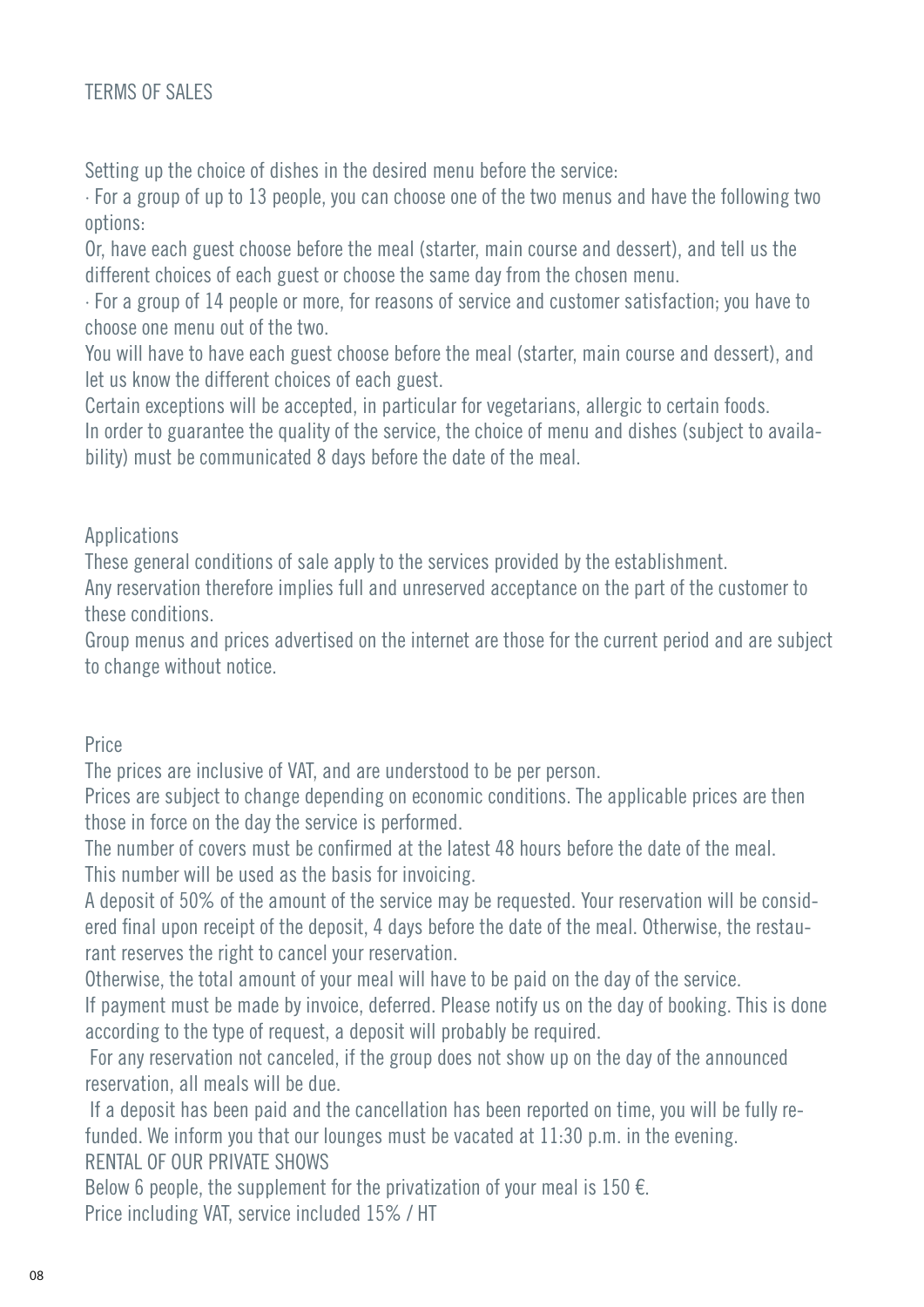Setting up the choice of dishes in the desired menu before the service:

· For a group of up to 13 people, you can choose one of the two menus and have the following two options:

Or, have each guest choose before the meal (starter, main course and dessert), and tell us the different choices of each guest or choose the same day from the chosen menu.

· For a group of 14 people or more, for reasons of service and customer satisfaction; you have to choose one menu out of the two.

You will have to have each guest choose before the meal (starter, main course and dessert), and let us know the different choices of each guest.

Certain exceptions will be accepted, in particular for vegetarians, allergic to certain foods. In order to guarantee the quality of the service, the choice of menu and dishes (subject to availability) must be communicated 8 days before the date of the meal.

#### Applications

These general conditions of sale apply to the services provided by the establishment.

Any reservation therefore implies full and unreserved acceptance on the part of the customer to these conditions.

Group menus and prices advertised on the internet are those for the current period and are subject to change without notice.

#### Price

The prices are inclusive of VAT, and are understood to be per person.

Prices are subject to change depending on economic conditions. The applicable prices are then those in force on the day the service is performed.

The number of covers must be confirmed at the latest 48 hours before the date of the meal. This number will be used as the basis for invoicing.

A deposit of 50% of the amount of the service may be requested. Your reservation will be considered final upon receipt of the deposit, 4 days before the date of the meal. Otherwise, the restaurant reserves the right to cancel your reservation.

Otherwise, the total amount of your meal will have to be paid on the day of the service.

If payment must be made by invoice, deferred. Please notify us on the day of booking. This is done according to the type of request, a deposit will probably be required.

 For any reservation not canceled, if the group does not show up on the day of the announced reservation, all meals will be due.

 If a deposit has been paid and the cancellation has been reported on time, you will be fully refunded. We inform you that our lounges must be vacated at 11:30 p.m. in the evening. RENTAL OF OUR PRIVATE SHOWS

Below 6 people, the supplement for the privatization of your meal is 150  $\epsilon$ . Price including VAT, service included 15% / HT